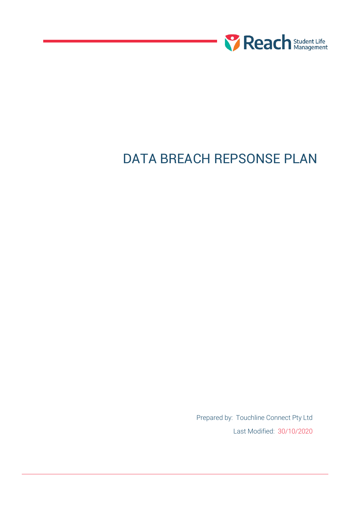

# DATA BREACH REPSONSE PLAN

Prepared by: Touchline Connect Pty Ltd Last Modified: 30/10/2020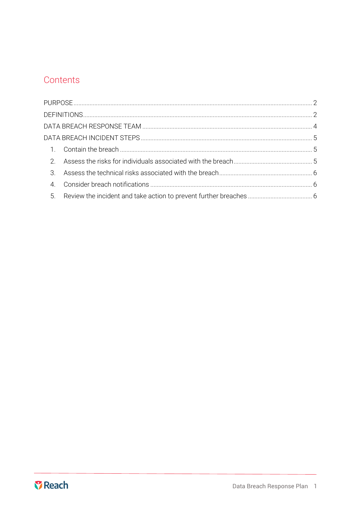# Contents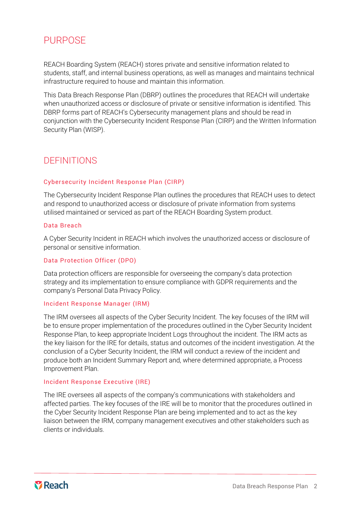# <span id="page-2-0"></span>**PURPOSE**

REACH Boarding System (REACH) stores private and sensitive information related to students, staff, and internal business operations, as well as manages and maintains technical infrastructure required to house and maintain this information.

This Data Breach Response Plan (DBRP) outlines the procedures that REACH will undertake when unauthorized access or disclosure of private or sensitive information is identified. This DBRP forms part of REACH's Cybersecurity management plans and should be read in conjunction with the Cybersecurity Incident Response Plan (CIRP) and the Written Information Security Plan (WISP).

### <span id="page-2-1"></span>**DEFINITIONS**

### Cybersecurity Incident Response Plan (CIRP)

The Cybersecurity Incident Response Plan outlines the procedures that REACH uses to detect and respond to unauthorized access or disclosure of private information from systems utilised maintained or serviced as part of the REACH Boarding System product.

### Data Breach

A Cyber Security Incident in REACH which involves the unauthorized access or disclosure of personal or sensitive information.

### Data Protection Officer (DPO)

Data protection officers are responsible for overseeing the company's data protection strategy and its implementation to ensure compliance with GDPR requirements and the company's Personal Data Privacy Policy.

#### Incident Response Manager (IRM)

The IRM oversees all aspects of the Cyber Security Incident. The key focuses of the IRM will be to ensure proper implementation of the procedures outlined in the Cyber Security Incident Response Plan, to keep appropriate Incident Logs throughout the incident. The IRM acts as the key liaison for the IRE for details, status and outcomes of the incident investigation. At the conclusion of a Cyber Security Incident, the IRM will conduct a review of the incident and produce both an Incident Summary Report and, where determined appropriate, a Process Improvement Plan.

### Incident Response Executive (IRE)

The IRE oversees all aspects of the company's communications with stakeholders and affected parties. The key focuses of the IRE will be to monitor that the procedures outlined in the Cyber Security Incident Response Plan are being implemented and to act as the key liaison between the IRM, company management executives and other stakeholders such as clients or individuals.

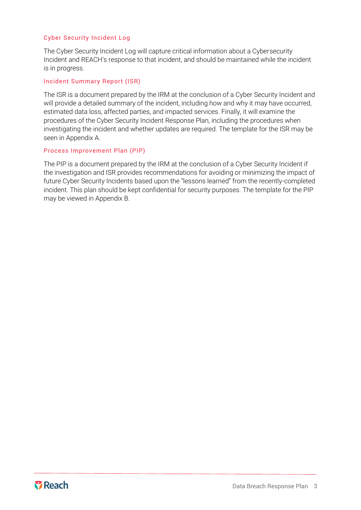### Cyber Security Incident Log

The Cyber Security Incident Log will capture critical information about a Cybersecurity Incident and REACH's response to that incident, and should be maintained while the incident is in progress.

### Incident Summary Report (ISR)

The ISR is a document prepared by the IRM at the conclusion of a Cyber Security Incident and will provide a detailed summary of the incident, including how and why it may have occurred, estimated data loss, affected parties, and impacted services. Finally, it will examine the procedures of the Cyber Security Incident Response Plan, including the procedures when investigating the incident and whether updates are required. The template for the ISR may be seen in Appendix A.

### Process Improvement Plan (PIP)

The PIP is a document prepared by the IRM at the conclusion of a Cyber Security Incident if the investigation and ISR provides recommendations for avoiding or minimizing the impact of future Cyber Security Incidents based upon the "lessons learned" from the recently-completed incident. This plan should be kept confidential for security purposes. The template for the PIP may be viewed in Appendix B.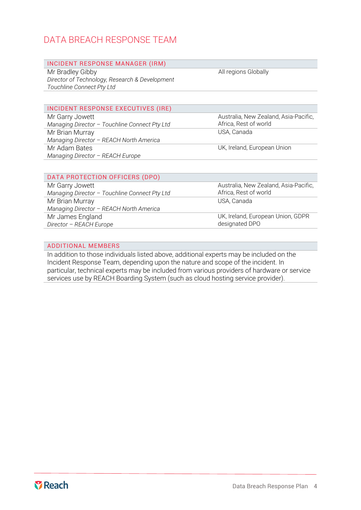## <span id="page-4-0"></span>DATA BREACH RESPONSE TEAM

### INCIDENT RESPONSE MANAGER (IRM)

Mr Bradley Gibby *Director of Technology, Research & Development Touchline Connect Pty Ltd*

All regions Globally

### INCIDENT RESPONSE EXECUTIVES (IRE)

Mr Garry Jowett *Managing Director – Touchline Connect Pty Ltd* Mr Brian Murray *Managing Director – REACH North America* Mr Adam Bates *Managing Director – REACH Europe*

Australia, New Zealand, Asia-Pacific, Africa, Rest of world USA, Canada

UK, Ireland, European Union

### DATA PROTECTION OFFICERS (DPO)

Mr Garry Jowett *Managing Director – Touchline Connect Pty Ltd* Mr Brian Murray *Managing Director – REACH North America* Mr James England *Director – REACH Europe*

Australia, New Zealand, Asia-Pacific, Africa, Rest of world USA, Canada

UK, Ireland, European Union, GDPR designated DPO

### ADDITIONAL MEMBERS

In addition to those individuals listed above, additional experts may be included on the Incident Response Team, depending upon the nature and scope of the incident. In particular, technical experts may be included from various providers of hardware or service services use by REACH Boarding System (such as cloud hosting service provider).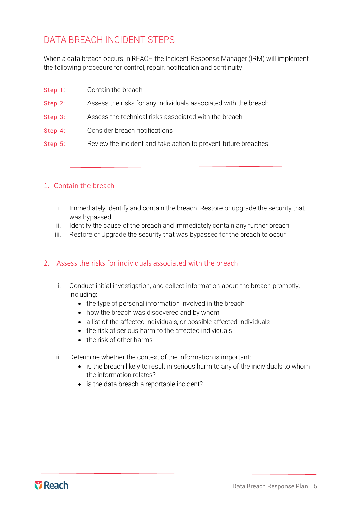# <span id="page-5-0"></span>DATA BREACH INCIDENT STEPS

When a data breach occurs in REACH the Incident Response Manager (IRM) will implement the following procedure for control, repair, notification and continuity.

| Step 1  | Contain the breach                                              |
|---------|-----------------------------------------------------------------|
| Step 2: | Assess the risks for any individuals associated with the breach |
| Step 3: | Assess the technical risks associated with the breach           |
| Step 4: | Consider breach notifications                                   |
| Step 5: | Review the incident and take action to prevent future breaches  |

### <span id="page-5-1"></span>1. Contain the breach

- i. Immediately identify and contain the breach. Restore or upgrade the security that was bypassed.
- ii. Identify the cause of the breach and immediately contain any further breach
- iii. Restore or Upgrade the security that was bypassed for the breach to occur

### <span id="page-5-2"></span>2. Assess the risks for individuals associated with the breach

- i. Conduct initial investigation, and collect information about the breach promptly, including:
	- the type of personal information involved in the breach
	- how the breach was discovered and by whom
	- a list of the affected individuals, or possible affected individuals
	- the risk of serious harm to the affected individuals
	- the risk of other harms
- ii. Determine whether the context of the information is important:
	- is the breach likely to result in serious harm to any of the individuals to whom the information relates?
	- is the data breach a reportable incident?